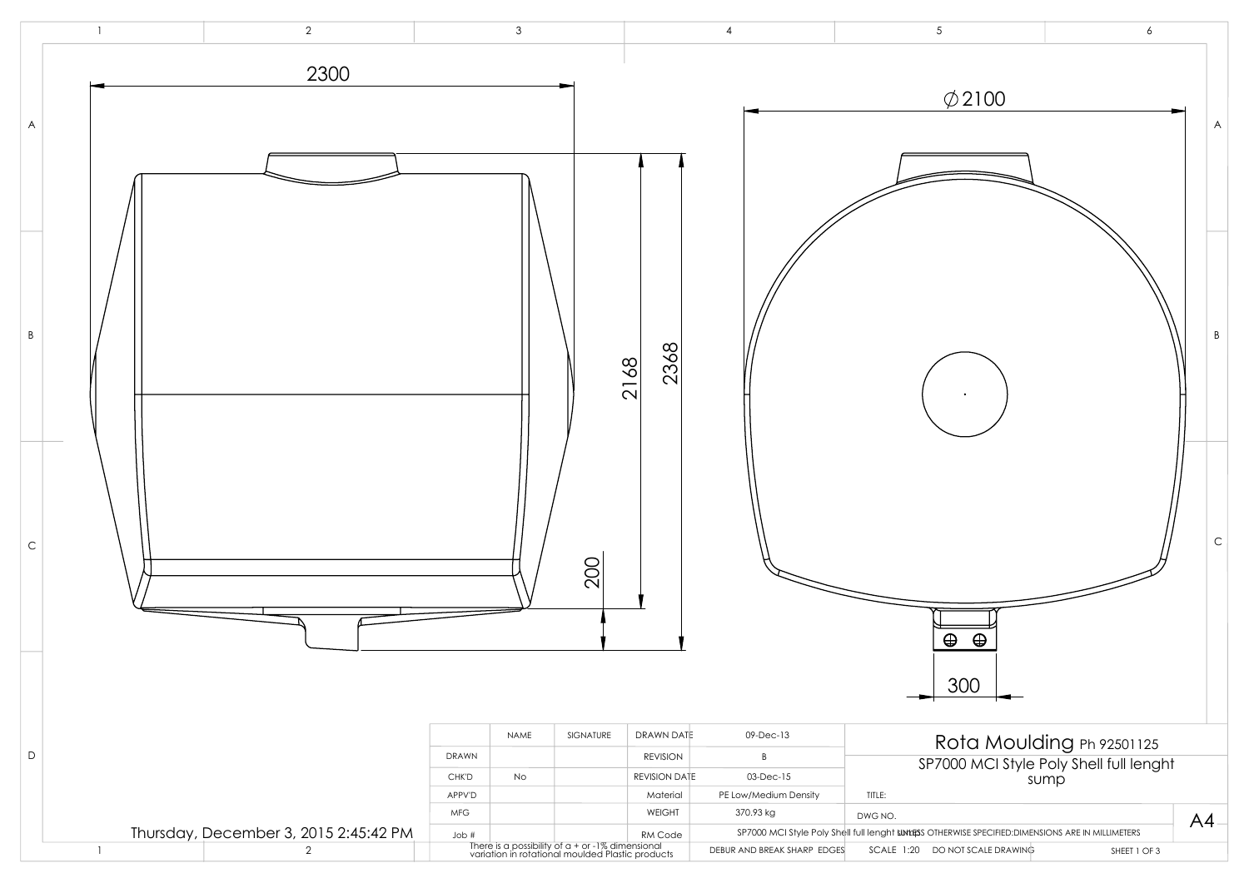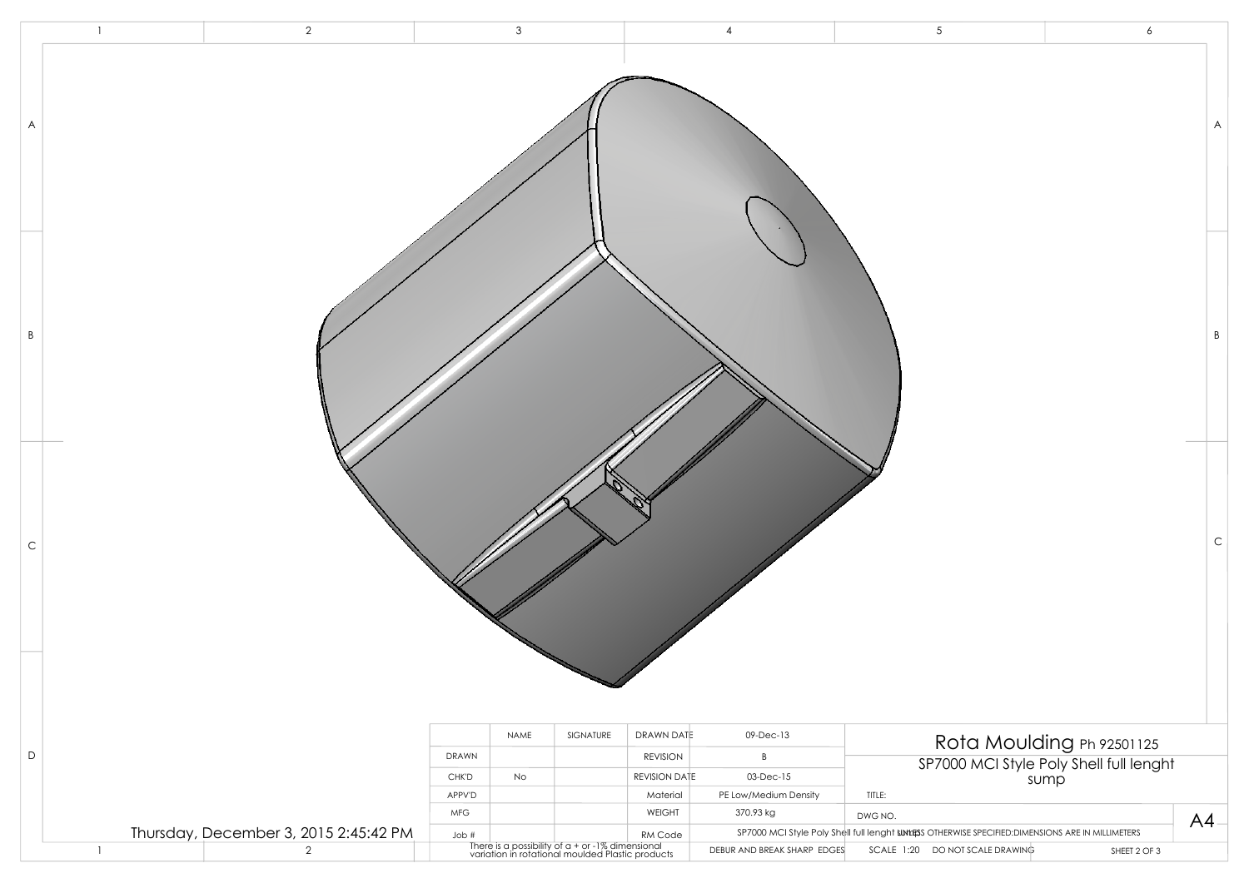|                |                | $\overline{2}$                        |             | 3    |                                                                                                        |                 |                             | 5                                                                                                  | 6                                               |    |
|----------------|----------------|---------------------------------------|-------------|------|--------------------------------------------------------------------------------------------------------|-----------------|-----------------------------|----------------------------------------------------------------------------------------------------|-------------------------------------------------|----|
| $\overline{A}$ |                |                                       |             |      |                                                                                                        |                 |                             |                                                                                                    |                                                 | A  |
| B              |                |                                       |             |      |                                                                                                        |                 |                             |                                                                                                    |                                                 | B  |
| C              |                |                                       |             |      |                                                                                                        |                 |                             |                                                                                                    |                                                 | C  |
|                |                |                                       |             | NAME | SIGNATURE                                                                                              | DRAWN DATE      | 09-Dec-13                   |                                                                                                    | Rota Moulding Ph 92501125                       |    |
| D              |                |                                       | DRAWN       |      |                                                                                                        | <b>REVISION</b> | B                           |                                                                                                    |                                                 |    |
|                |                |                                       | CHK'D       | No   |                                                                                                        | REVISION DATE   | 03-Dec-15                   |                                                                                                    | SP7000 MCI Style Poly Shell full lenght<br>sump |    |
|                |                |                                       | APPV'D      |      |                                                                                                        | Material        | PE Low/Medium Density       | TITLE:                                                                                             |                                                 |    |
|                |                |                                       | ${\sf MFG}$ |      |                                                                                                        | WEIGHT          | 370.93 kg                   | DWG NO.                                                                                            |                                                 | AA |
|                |                | Thursday, December 3, 2015 2:45:42 PM | Job #       |      |                                                                                                        | RM Code         |                             | SP7000 MCI Style Poly Shell full lenght surfiss OTHERWISE SPECIFIED: DIMENSIONS ARE IN MILLIMETERS |                                                 |    |
|                | $\overline{1}$ | $\overline{2}$                        |             |      | There is a possibility of $a + or$ -1% dimensional<br>variation in rotational moulded Plastic products |                 | DEBUR AND BREAK SHARP EDGES | SCALE 1:20 DO NOT SCALE DRAWING                                                                    | SHEET 2 OF 3                                    |    |